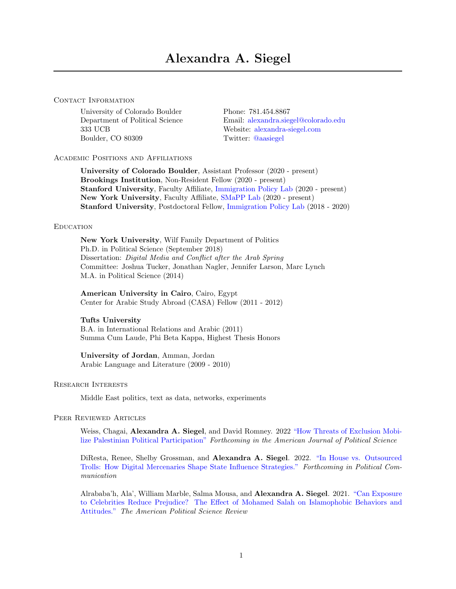#### CONTACT INFORMATION

University of Colorado Boulder Phone: 781.454.8867<br>Department of Political Science Email: alexandra.sie 333 UCB Website: [alexandra-siegel.com](https://alexandra-siegel.com/) Boulder, CO 80309 Twitter: [@aasiegel](https://twitter.com/aasiegel)

Email: [alexandra.siegel@colorado.edu](alexandra.siegel$@$colorado.edu)

### Academic Positions and Affiliations

University of Colorado Boulder, Assistant Professor (2020 - present) Brookings Institution, Non-Resident Fellow (2020 - present) Stanford University, Faculty Affiliate, [Immigration Policy Lab](https://immigrationlab.org/) (2020 - present) New York University, Faculty Affiliate, [SMaPP Lab](https://smappnyu.org/) (2020 - present) Stanford University, Postdoctoral Fellow, [Immigration Policy Lab](https://immigrationlab.org/) (2018 - 2020)

#### **EDUCATION**

New York University, Wilf Family Department of Politics Ph.D. in Political Science (September 2018) Dissertation: Digital Media and Conflict after the Arab Spring Committee: Joshua Tucker, Jonathan Nagler, Jennifer Larson, Marc Lynch M.A. in Political Science (2014)

American University in Cairo, Cairo, Egypt Center for Arabic Study Abroad (CASA) Fellow (2011 - 2012)

# Tufts University

B.A. in International Relations and Arabic (2011) Summa Cum Laude, Phi Beta Kappa, Highest Thesis Honors

### University of Jordan, Amman, Jordan Arabic Language and Literature (2009 - 2010)

#### Research Interests

Middle East politics, text as data, networks, experiments

#### Peer Reviewed Articles

Weiss, Chagai, Alexandra A. Siegel, and David Romney. 2022 ["How Threats of Exclusion Mobi](https://static1.squarespace.com/static/5bda793b0dbda3f980201462/t/6027ecabe824ea5581e95b9c/1613229229180/DoC_v8.pdf)[lize Palestinian Political Participation"](https://static1.squarespace.com/static/5bda793b0dbda3f980201462/t/6027ecabe824ea5581e95b9c/1613229229180/DoC_v8.pdf) Forthcoming in the American Journal of Political Science

DiResta, Renee, Shelby Grossman, and Alexandra A. Siegel. 2022. ["In House vs. Outsourced](https://drive.google.com/file/d/1CDSmkzdzMYne9okvtz8xFsUR3mr9iunq/view) [Trolls: How Digital Mercenaries Shape State Influence Strategies."](https://drive.google.com/file/d/1CDSmkzdzMYne9okvtz8xFsUR3mr9iunq/view) Forthcoming in Political Communication

Alrababa'h, Ala', William Marble, Salma Mousa, and Alexandra A. Siegel. 2021. ["Can Exposure](https://www.cambridge.org/core/journals/american-political-science-review/article/can-exposure-to-celebrities-reduce-prejudice-the-effect-of-mohamed-salah-on-islamophobic-behaviors-and-attitudes/A1DA34F9F5BCE905850AC8FBAC78BE58) [to Celebrities Reduce Prejudice? The Effect of Mohamed Salah on Islamophobic Behaviors and](https://www.cambridge.org/core/journals/american-political-science-review/article/can-exposure-to-celebrities-reduce-prejudice-the-effect-of-mohamed-salah-on-islamophobic-behaviors-and-attitudes/A1DA34F9F5BCE905850AC8FBAC78BE58) [Attitudes."](https://www.cambridge.org/core/journals/american-political-science-review/article/can-exposure-to-celebrities-reduce-prejudice-the-effect-of-mohamed-salah-on-islamophobic-behaviors-and-attitudes/A1DA34F9F5BCE905850AC8FBAC78BE58) The American Political Science Review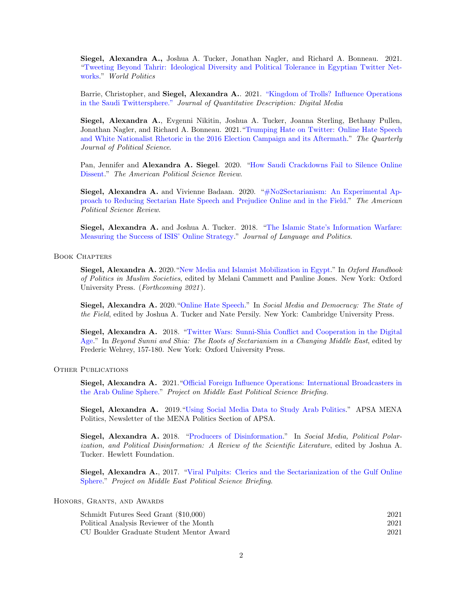Siegel, Alexandra A., Joshua A. Tucker, Jonathan Nagler, and Richard A. Bonneau. 2021. ["Tweeting Beyond Tahrir: Ideological Diversity and Political Tolerance in Egyptian Twitter Net](https://www.cambridge.org/core/journals/world-politics/article/abs/tweeting-beyond-tahrir/986731C1270CF743645A0D4A2B330C3F)[works.](https://www.cambridge.org/core/journals/world-politics/article/abs/tweeting-beyond-tahrir/986731C1270CF743645A0D4A2B330C3F)" World Politics

Barrie, Christopher, and Siegel, Alexandra A.. 2021. ["Kingdom of Trolls? Influence Operations]( https://doi.org/10.51685/jqd.2021.012) [in the Saudi Twittersphere."]( https://doi.org/10.51685/jqd.2021.012) Journal of Quantitative Description: Digital Media

Siegel, Alexandra A., Evgenni Nikitin, Joshua A. Tucker, Joanna Sterling, Bethany Pullen, Jonathan Nagler, and Richard A. Bonneau. 2021.["Trumping Hate on Twitter: Online Hate Speech](https://www.nowpublishers.com/article/Details/QJPS-19045) [and White Nationalist Rhetoric in the 2016 Election Campaign and its Aftermath.](https://www.nowpublishers.com/article/Details/QJPS-19045)" The Quarterly Journal of Political Science.

Pan, Jennifer and Alexandra A. Siegel. 2020. ["How Saudi Crackdowns Fail to Silence Online](https://alexandra-siegel.com/wp-content/uploads/2019/08/Siegel_JMP.pdf) [Dissent.](https://alexandra-siegel.com/wp-content/uploads/2019/08/Siegel_JMP.pdf)" The American Political Science Review.

Siegel, Alexandra A. and Vivienne Badaan. 2020. ["#No2Sectarianism: An Experimental Ap](https://alexandra-siegel.com/wp-content/uploads/2019/05/Sectarianism_Experiment_RR_Website.pdf)[proach to Reducing Sectarian Hate Speech and Prejudice Online and in the Field.](https://alexandra-siegel.com/wp-content/uploads/2019/05/Sectarianism_Experiment_RR_Website.pdf)" The American Political Science Review.

Siegel, Alexandra A. and Joshua A. Tucker. 2018. ["The Islamic State's Information Warfare:](https://www.jbe-platform.com/content/journals/10.1075/jlp.17005.sie) [Measuring the Success of ISIS' Online Strategy.](https://www.jbe-platform.com/content/journals/10.1075/jlp.17005.sie)" Journal of Language and Politics.

Book Chapters

Siegel, Alexandra A. 2020. ["New Media and Islamist Mobilization in Egypt.](https://www.oxfordhandbooks.com/view/10.1093/oxfordhb/9780190931056.001.0001/oxfordhb-9780190931056-e-29)" In Oxford Handbook of Politics in Muslim Societies, edited by Melani Cammett and Pauline Jones. New York: Oxford University Press. (Forthcoming 2021).

Siegel, Alexandra A. 2020. ["Online Hate Speech.](https://www.cambridge.org/core/books/social-media-and-democracy/E79E2BBF03C18C3A56A5CC393698F117)" In Social Media and Democracy: The State of the Field, edited by Joshua A. Tucker and Nate Persily. New York: Cambridge University Press.

Siegel, Alexandra A. 2018. ["Twitter Wars: Sunni-Shia Conflict and Cooperation in the Digital](https://www.hurstpublishers.com/book/beyond-sunni-shia/) [Age.](https://www.hurstpublishers.com/book/beyond-sunni-shia/)" In Beyond Sunni and Shia: The Roots of Sectarianism in a Changing Middle East, edited by Frederic Wehrey, 157-180. New York: Oxford University Press.

OTHER PUBLICATIONS

Siegel, Alexandra A. 2021.["Official Foreign Influence Operations: International Broadcasters in](https://alexandra-siegel.com/wp-content/uploads/2019/08/Siegel_APSA_MENA_Newsletter.pdf) [the Arab Online Sphere."](https://alexandra-siegel.com/wp-content/uploads/2019/08/Siegel_APSA_MENA_Newsletter.pdf) Project on Middle East Political Science Briefing.

Siegel, Alexandra A. 2019.["Using Social Media Data to Study Arab Politics.](https://pomeps.org/official-foreign-influence-operations-international-broadcasters-in-the-arab-online-sphere)" APSA MENA Politics, Newsletter of the MENA Politics Section of APSA.

Siegel, Alexandra A. 2018. ["Producers of Disinformation.](https://hewlett.org/library/social-media-political-polarization-political-disinformation-review-scientific-literature/)" In Social Media, Political Polarization, and Political Disinformation: A Review of the Scientific Literature, edited by Joshua A. Tucker. Hewlett Foundation.

Siegel, Alexandra A., 2017. ["Viral Pulpits: Clerics and the Sectarianization of the Gulf Online](https://pomeps.org/viral-pulpits-clerics-and-the-sectarianization-of-the-gulf-online-sphere) [Sphere.](https://pomeps.org/viral-pulpits-clerics-and-the-sectarianization-of-the-gulf-online-sphere)" Project on Middle East Political Science Briefing.

### Honors, Grants, and Awards

| Schmidt Futures Seed Grant (\$10,000)    | 2021 |
|------------------------------------------|------|
| Political Analysis Reviewer of the Month | 2021 |
| CU Boulder Graduate Student Mentor Award | 2021 |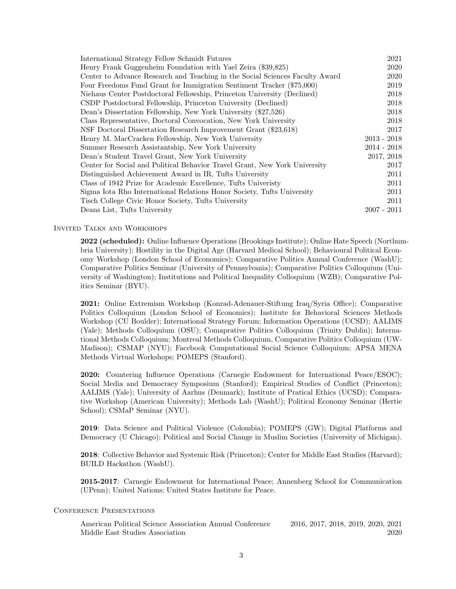| International Strategy Fellow Schmidt Futures                                | 2021          |
|------------------------------------------------------------------------------|---------------|
| Henry Frank Guggenheim Foundation with Yael Zeira (\$39,825)                 | 2020          |
| Center to Advance Research and Teaching in the Social Sciences Faculty Award | 2020          |
| Four Freedoms Fund Grant for Immigration Sentiment Tracker (\$75,000)        | 2019          |
| Niehaus Center Postdoctoral Fellowship, Princeton University (Declined)      | 2018          |
| CSDP Postdoctoral Fellowship, Princeton University (Declined)                | 2018          |
| Dean's Dissertation Fellowship, New York University (\$27,526)               | 2018          |
| Class Representative, Doctoral Convocation, New York University              | 2018          |
| NSF Doctoral Dissertation Research Improvement Grant (\$23,618)              | 2017          |
| Henry M. MacCracken Fellowship, New York University                          | $2013 - 2018$ |
| Summer Research Assistantship, New York University                           | $2014 - 2018$ |
| Dean's Student Travel Grant, New York University                             | 2017, 2018    |
| Center for Social and Political Behavior Travel Grant, New York University   | 2017          |
| Distinguished Achievement Award in IR, Tufts University                      | 2011          |
| Class of 1942 Prize for Academic Excellence, Tufts University                | 2011          |
| Sigma Iota Rho International Relations Honor Society, Tufts University       | 2011          |
| Tisch College Civic Honor Society, Tufts University                          | 2011          |
| Deans List, Tufts University                                                 | $2007 - 2011$ |

#### Invited Talks and Workshops

2022 (scheduled): Online Influence Operations (Brookings Institute); Online Hate Speech (Northumbria University); Hostility in the Digital Age (Harvard Medical School); Behavioural Political Economy Workshop (London School of Economics); Comparative Politics Annual Conference (WashU); Comparative Politics Seminar (University of Pennsylvania); Comparative Politics Colloquium (University of Washington); Institutions and Political Inequality Colloquium (WZB); Comparative Politics Seminar (BYU).

2021: Online Extremism Workshop (Konrad-Adenauer-Stiftung Iraq/Syria Office); Comparative Politics Colloquium (London School of Economics); Institute for Behavioral Sciences Methods Workshop (CU Boulder); International Strategy Forum; Information Operations (UCSD); AALIMS (Yale); Methods Colloquium (OSU); Comaprative Politics Colloquium (Trinity Dublin); International Methods Colloquium; Montreal Methods Colloquium, Comparative Politics Colloquium (UW-Madison); CSMAP (NYU); Facebook Computational Social Science Colloquium; APSA MENA Methods Virtual Workshops; POMEPS (Stanford).

2020: Countering Influence Operations (Carnegie Endowment for International Peace/ESOC); Social Media and Democracy Symposium (Stanford); Empirical Studies of Conflict (Princeton); AALIMS (Yale); University of Aarhus (Denmark); Institute of Pratical Ethics (UCSD); Comparative Workshop (American University); Methods Lab (WashU); Political Economy Seminar (Hertie School); CSMaP Seminar (NYU).

2019: Data Science and Political Violence (Colombia); POMEPS (GW); Digital Platforms and Democracy (U Chicago); Political and Social Change in Muslim Societies (University of Michigan).

2018: Collective Behavior and Systemic Risk (Princeton); Center for Middle East Studies (Harvard); BUILD Hackathon (WashU).

2015-2017: Carnegie Endowment for International Peace; Annenberg School for Communication (UPenn); United Nations; United States Institute for Peace.

#### CONFERENCE PRESENTATIONS

American Political Science Association Annual Conference 2016, 2017, 2018, 2019, 2020, 2021 Middle East Studies Association 2020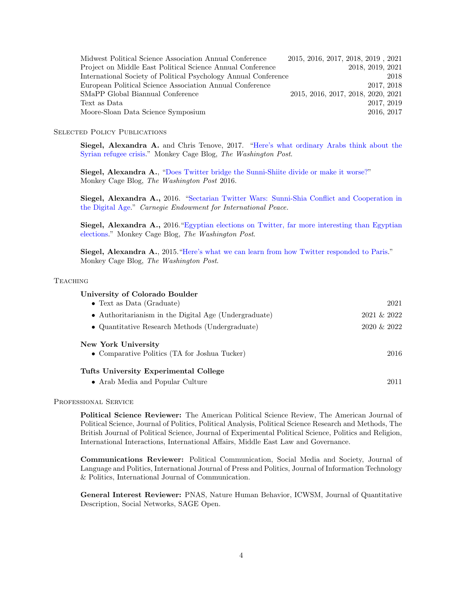| Midwest Political Science Association Annual Conference         | 2015, 2016, 2017, 2018, 2019, 2021 |  |                                    |            |
|-----------------------------------------------------------------|------------------------------------|--|------------------------------------|------------|
| Project on Middle East Political Science Annual Conference      |                                    |  | 2018, 2019, 2021                   |            |
| International Society of Political Psychology Annual Conference |                                    |  |                                    | 2018       |
| European Political Science Association Annual Conference        |                                    |  |                                    | 2017, 2018 |
| SMaPP Global Biannual Conference                                |                                    |  | 2015, 2016, 2017, 2018, 2020, 2021 |            |
| Text as Data                                                    |                                    |  |                                    | 2017, 2019 |
| Moore-Sloan Data Science Symposium                              |                                    |  |                                    | 2016, 2017 |

#### SELECTED POLICY PUBLICATIONS

Siegel, Alexandra A. and Chris Tenove, 2017. ["Here's what ordinary Arabs think about the](https://www.washingtonpost.com/news/monkey-cage/wp/2016/09/19/heres-what-ordinary-arabs-think-about-the-syrian-refugee-crisis/?utm_term=.839540498391) [Syrian refugee crisis.](https://www.washingtonpost.com/news/monkey-cage/wp/2016/09/19/heres-what-ordinary-arabs-think-about-the-syrian-refugee-crisis/?utm_term=.839540498391)" Monkey Cage Blog, The Washington Post.

Siegel, Alexandra A., ["Does Twitter bridge the Sunni-Shiite divide or make it worse?"](https://www.washingtonpost.com/news/monkey-cage/wp/2016/01/07/does-twitter-bridge-the-sunni-shiite-divide-or-make-it-worse/?utm_term=.19589bbf84fb) Monkey Cage Blog, The Washington Post 2016.

Siegel, Alexandra A., 2016. ["Sectarian Twitter Wars: Sunni-Shia Conflict and Cooperation in](https://carnegieendowment.org/files/CP_262_Siegel_Sectarian_Twitter_Wars_.pdf) [the Digital Age.](https://carnegieendowment.org/files/CP_262_Siegel_Sectarian_Twitter_Wars_.pdf)" Carnegie Endowment for International Peace.

Siegel, Alexandra A., 2016. ["Egyptian elections on Twitter, far more interesting than Egyptian](https://www.washingtonpost.com/news/monkey-cage/wp/2015/12/04/egyptian-election-twitter-far-more-interesting-than-egyptian-elections/?utm_term=.64afbec7cbe0) [elections.](https://www.washingtonpost.com/news/monkey-cage/wp/2015/12/04/egyptian-election-twitter-far-more-interesting-than-egyptian-elections/?utm_term=.64afbec7cbe0)" Monkey Cage Blog, The Washington Post.

Siegel, Alexandra A., 2015.["Here's what we can learn from how Twitter responded to Paris.](https://www.washingtonpost.com/news/monkey-cage/wp/2015/11/16/heres-what-we-can-learn-from-how-twitter-responded-to-paris/?utm_term=.099b3b58ffbe)" Monkey Cage Blog, The Washington Post.

#### **TEACHING**

| University of Colorado Boulder                        |                |
|-------------------------------------------------------|----------------|
| $\bullet$ Text as Data (Graduate)                     | 2021           |
| • Authoritarianism in the Digital Age (Undergraduate) | $2021 \& 2022$ |
| • Quantitative Research Methods (Undergraduate)       | $2020 \& 2022$ |
| New York University                                   |                |
| • Comparative Politics (TA for Joshua Tucker)         | 2016           |
| Tufts University Experimental College                 |                |
| • Arab Media and Popular Culture                      | 2011           |

#### PROFESSIONAL SERVICE

Political Science Reviewer: The American Political Science Review, The American Journal of Political Science, Journal of Politics, Political Analysis, Political Science Research and Methods, The British Journal of Political Science, Journal of Experimental Political Science, Politics and Religion, International Interactions, International Affairs, Middle East Law and Governance.

Communications Reviewer: Political Communication, Social Media and Society, Journal of Language and Politics, International Journal of Press and Politics, Journal of Information Technology & Politics, International Journal of Communication.

General Interest Reviewer: PNAS, Nature Human Behavior, ICWSM, Journal of Quantitative Description, Social Networks, SAGE Open.